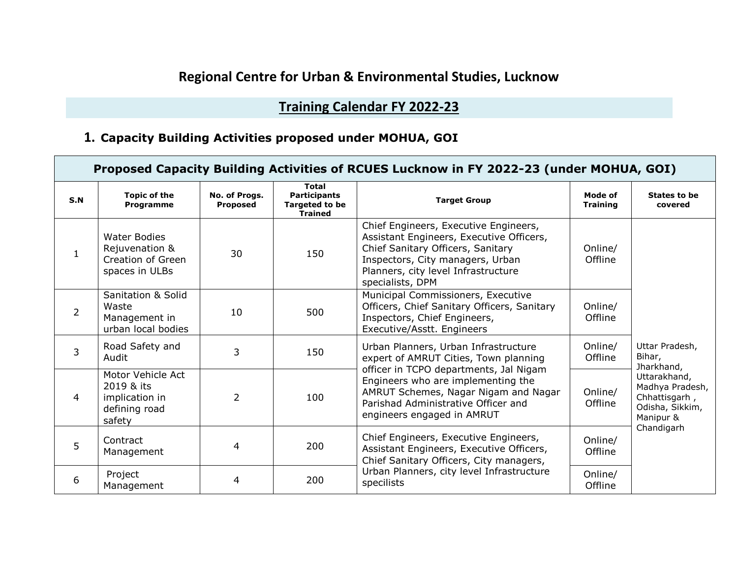# **Regional Centre for Urban & Environmental Studies, Lucknow**

# **Training Calendar FY 2022-23**

### **1. Capacity Building Activities proposed under MOHUA, GOI**

| Proposed Capacity Building Activities of RCUES Lucknow in FY 2022-23 (under MOHUA, GOI) |                                                                              |                                                                                                                    |     |                                                                                                                                                                                                                       |                            |                                                                                                |  |  |
|-----------------------------------------------------------------------------------------|------------------------------------------------------------------------------|--------------------------------------------------------------------------------------------------------------------|-----|-----------------------------------------------------------------------------------------------------------------------------------------------------------------------------------------------------------------------|----------------------------|------------------------------------------------------------------------------------------------|--|--|
| S.N                                                                                     | <b>Topic of the</b><br>Programme                                             | <b>Total</b><br>No. of Progs.<br><b>Participants</b><br><b>Targeted to be</b><br><b>Proposed</b><br><b>Trained</b> |     | <b>Target Group</b>                                                                                                                                                                                                   | Mode of<br><b>Training</b> | States to be<br>covered                                                                        |  |  |
| $\mathbf{1}$                                                                            | <b>Water Bodies</b><br>Rejuvenation &<br>Creation of Green<br>spaces in ULBs | 30                                                                                                                 | 150 | Chief Engineers, Executive Engineers,<br>Assistant Engineers, Executive Officers,<br>Chief Sanitary Officers, Sanitary<br>Inspectors, City managers, Urban<br>Planners, city level Infrastructure<br>specialists, DPM | Online/<br>Offline         |                                                                                                |  |  |
| $\overline{2}$                                                                          | Sanitation & Solid<br>Waste<br>Management in<br>urban local bodies           | 10                                                                                                                 | 500 | Municipal Commissioners, Executive<br>Officers, Chief Sanitary Officers, Sanitary<br>Inspectors, Chief Engineers,<br>Executive/Asstt. Engineers                                                                       | Online/<br>Offline         |                                                                                                |  |  |
| 3                                                                                       | Road Safety and<br>Audit                                                     | 3                                                                                                                  | 150 | Urban Planners, Urban Infrastructure<br>expert of AMRUT Cities, Town planning                                                                                                                                         | Online/<br>Offline         | Uttar Pradesh,<br>Bihar,<br>Jharkhand,                                                         |  |  |
| 4                                                                                       | Motor Vehicle Act<br>2019 & its<br>implication in<br>defining road<br>safety | $\overline{2}$                                                                                                     | 100 | officer in TCPO departments, Jal Nigam<br>Engineers who are implementing the<br>AMRUT Schemes, Nagar Nigam and Nagar<br>Parishad Administrative Officer and<br>engineers engaged in AMRUT                             | Online/<br>Offline         | Uttarakhand,<br>Madhya Pradesh,<br>Chhattisgarh,<br>Odisha, Sikkim,<br>Manipur &<br>Chandigarh |  |  |
| 5                                                                                       | Contract<br>Management                                                       | 4                                                                                                                  | 200 | Chief Engineers, Executive Engineers,<br>Assistant Engineers, Executive Officers,<br>Chief Sanitary Officers, City managers,                                                                                          | Online/<br>Offline         |                                                                                                |  |  |
| 6                                                                                       | Project<br>Management                                                        | 4                                                                                                                  | 200 | Urban Planners, city level Infrastructure<br>specilists                                                                                                                                                               | Online/<br>Offline         |                                                                                                |  |  |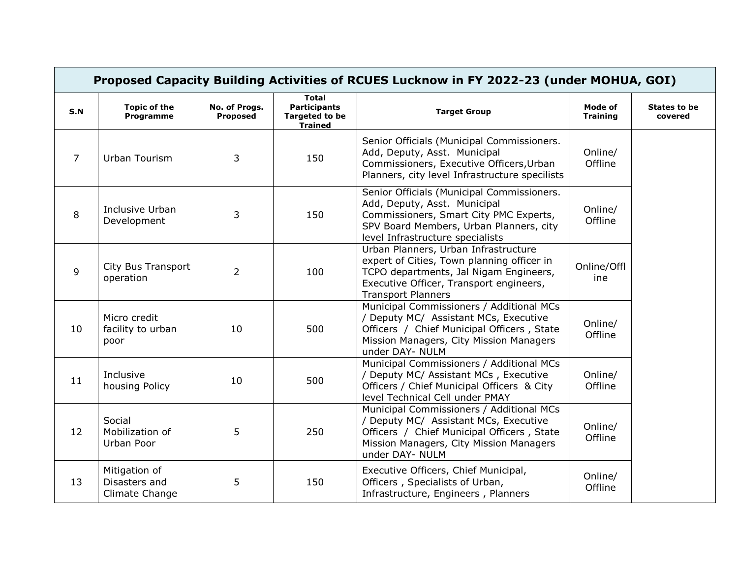| Proposed Capacity Building Activities of RCUES Lucknow in FY 2022-23 (under MOHUA, GOI) |                                                  |                                  |                                                                                |                                                                                                                                                                                                      |                            |                                |  |  |
|-----------------------------------------------------------------------------------------|--------------------------------------------------|----------------------------------|--------------------------------------------------------------------------------|------------------------------------------------------------------------------------------------------------------------------------------------------------------------------------------------------|----------------------------|--------------------------------|--|--|
| S.N                                                                                     | <b>Topic of the</b><br>Programme                 | No. of Progs.<br><b>Proposed</b> | <b>Total</b><br><b>Participants</b><br><b>Targeted to be</b><br><b>Trained</b> | <b>Target Group</b>                                                                                                                                                                                  | Mode of<br><b>Training</b> | <b>States to be</b><br>covered |  |  |
| $\overline{7}$                                                                          | Urban Tourism                                    | 3                                | 150                                                                            | Senior Officials (Municipal Commissioners.<br>Add, Deputy, Asst. Municipal<br>Commissioners, Executive Officers, Urban<br>Planners, city level Infrastructure specilists                             | Online/<br>Offline         |                                |  |  |
| 8                                                                                       | Inclusive Urban<br>Development                   | 3                                | 150                                                                            | Senior Officials (Municipal Commissioners.<br>Add, Deputy, Asst. Municipal<br>Commissioners, Smart City PMC Experts,<br>SPV Board Members, Urban Planners, city<br>level Infrastructure specialists  | Online/<br>Offline         |                                |  |  |
| 9                                                                                       | City Bus Transport<br>operation                  | $\overline{2}$                   | 100                                                                            | Urban Planners, Urban Infrastructure<br>expert of Cities, Town planning officer in<br>TCPO departments, Jal Nigam Engineers,<br>Executive Officer, Transport engineers,<br><b>Transport Planners</b> | Online/Offl<br>ine         |                                |  |  |
| 10                                                                                      | Micro credit<br>facility to urban<br>poor        | 10                               | 500                                                                            | Municipal Commissioners / Additional MCs<br>/ Deputy MC/ Assistant MCs, Executive<br>Officers / Chief Municipal Officers, State<br>Mission Managers, City Mission Managers<br>under DAY- NULM        | Online/<br>Offline         |                                |  |  |
| 11                                                                                      | Inclusive<br>housing Policy                      | 10                               | 500                                                                            | Municipal Commissioners / Additional MCs<br>/ Deputy MC/ Assistant MCs, Executive<br>Officers / Chief Municipal Officers & City<br>level Technical Cell under PMAY                                   | Online/<br>Offline         |                                |  |  |
| 12                                                                                      | Social<br>Mobilization of<br>Urban Poor          | 5                                | 250                                                                            | Municipal Commissioners / Additional MCs<br>/ Deputy MC/ Assistant MCs, Executive<br>Officers / Chief Municipal Officers, State<br>Mission Managers, City Mission Managers<br>under DAY- NULM        | Online/<br>Offline         |                                |  |  |
| 13                                                                                      | Mitigation of<br>Disasters and<br>Climate Change | 5                                | 150                                                                            | Executive Officers, Chief Municipal,<br>Officers, Specialists of Urban,<br>Infrastructure, Engineers, Planners                                                                                       | Online/<br>Offline         |                                |  |  |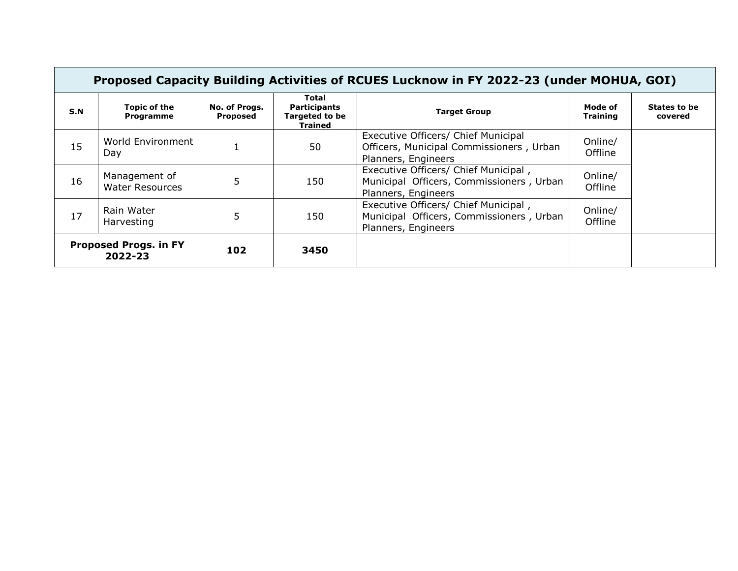|                                         | Proposed Capacity Building Activities of RCUES Lucknow in FY 2022-23 (under MOHUA, GOI) |                           |                                                                  |                                                                                                         |                            |                         |  |  |  |  |
|-----------------------------------------|-----------------------------------------------------------------------------------------|---------------------------|------------------------------------------------------------------|---------------------------------------------------------------------------------------------------------|----------------------------|-------------------------|--|--|--|--|
| S.N                                     | Topic of the<br>Programme                                                               | No. of Progs.<br>Proposed | Total<br><b>Participants</b><br><b>Targeted to be</b><br>Trained | <b>Target Group</b>                                                                                     | Mode of<br><b>Training</b> | States to be<br>covered |  |  |  |  |
| 15                                      | World Environment<br>Day                                                                |                           | 50                                                               | Executive Officers/ Chief Municipal<br>Officers, Municipal Commissioners, Urban<br>Planners, Engineers  | Online/<br>Offline         |                         |  |  |  |  |
| 16                                      | Management of<br><b>Water Resources</b>                                                 | 5                         | 150                                                              | Executive Officers/ Chief Municipal,<br>Municipal Officers, Commissioners, Urban<br>Planners, Engineers | Online/<br>Offline         |                         |  |  |  |  |
| 17                                      | Rain Water<br>Harvesting                                                                | 5                         | 150                                                              | Executive Officers/ Chief Municipal,<br>Municipal Officers, Commissioners, Urban<br>Planners, Engineers | Online/<br>Offline         |                         |  |  |  |  |
| <b>Proposed Progs. in FY</b><br>2022-23 |                                                                                         | 102                       | 3450                                                             |                                                                                                         |                            |                         |  |  |  |  |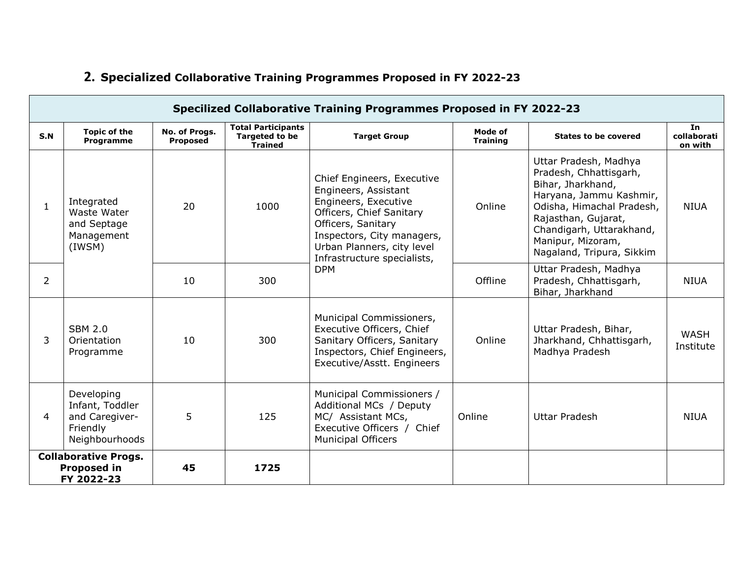| Specilized Collaborative Training Programmes Proposed in FY 2022-23   |                                                                                                                                                                                                                                    |                           |                                                                      |                                                                                                                                                                                                                         |                            |                                                                                                                                                                                                                                   |                              |  |  |
|-----------------------------------------------------------------------|------------------------------------------------------------------------------------------------------------------------------------------------------------------------------------------------------------------------------------|---------------------------|----------------------------------------------------------------------|-------------------------------------------------------------------------------------------------------------------------------------------------------------------------------------------------------------------------|----------------------------|-----------------------------------------------------------------------------------------------------------------------------------------------------------------------------------------------------------------------------------|------------------------------|--|--|
| S.N                                                                   | <b>Topic of the</b><br><b>Programme</b>                                                                                                                                                                                            | No. of Progs.<br>Proposed | <b>Total Participants</b><br><b>Targeted to be</b><br><b>Trained</b> | <b>Target Group</b>                                                                                                                                                                                                     | Mode of<br><b>Training</b> | <b>States to be covered</b>                                                                                                                                                                                                       | In<br>collaborati<br>on with |  |  |
| $\mathbf{1}$                                                          | Integrated<br>Waste Water<br>and Septage<br>Management<br>(IWSM)                                                                                                                                                                   | 20                        | 1000                                                                 | Chief Engineers, Executive<br>Engineers, Assistant<br>Engineers, Executive<br>Officers, Chief Sanitary<br>Officers, Sanitary<br>Inspectors, City managers,<br>Urban Planners, city level<br>Infrastructure specialists, | Online                     | Uttar Pradesh, Madhya<br>Pradesh, Chhattisgarh,<br>Bihar, Jharkhand,<br>Haryana, Jammu Kashmir,<br>Odisha, Himachal Pradesh,<br>Rajasthan, Gujarat,<br>Chandigarh, Uttarakhand,<br>Manipur, Mizoram,<br>Nagaland, Tripura, Sikkim | <b>NIUA</b>                  |  |  |
| 2                                                                     |                                                                                                                                                                                                                                    | 10                        | 300                                                                  | <b>DPM</b>                                                                                                                                                                                                              | Offline                    | Uttar Pradesh, Madhya<br>Pradesh, Chhattisgarh,<br>Bihar, Jharkhand                                                                                                                                                               | <b>NIUA</b>                  |  |  |
| 3                                                                     | <b>SBM 2.0</b><br>Orientation<br>Programme                                                                                                                                                                                         | 10                        | 300                                                                  | Municipal Commissioners,<br>Executive Officers, Chief<br>Sanitary Officers, Sanitary<br>Inspectors, Chief Engineers,<br>Executive/Asstt. Engineers                                                                      | Online                     | Uttar Pradesh, Bihar,<br>Jharkhand, Chhattisgarh,<br>Madhya Pradesh                                                                                                                                                               | WASH<br>Institute            |  |  |
| 4                                                                     | Developing<br>Municipal Commissioners /<br>Infant, Toddler<br>Additional MCs / Deputy<br>5<br>and Caregiver-<br>125<br>MC/ Assistant MCs,<br>Executive Officers / Chief<br>Friendly<br>Neighbourhoods<br><b>Municipal Officers</b> |                           | Online                                                               | Uttar Pradesh                                                                                                                                                                                                           | <b>NIUA</b>                |                                                                                                                                                                                                                                   |                              |  |  |
| <b>Collaborative Progs.</b><br><b>Proposed in</b><br>45<br>FY 2022-23 |                                                                                                                                                                                                                                    |                           | 1725                                                                 |                                                                                                                                                                                                                         |                            |                                                                                                                                                                                                                                   |                              |  |  |

## **2. Specialized Collaborative Training Programmes Proposed in FY 2022-23**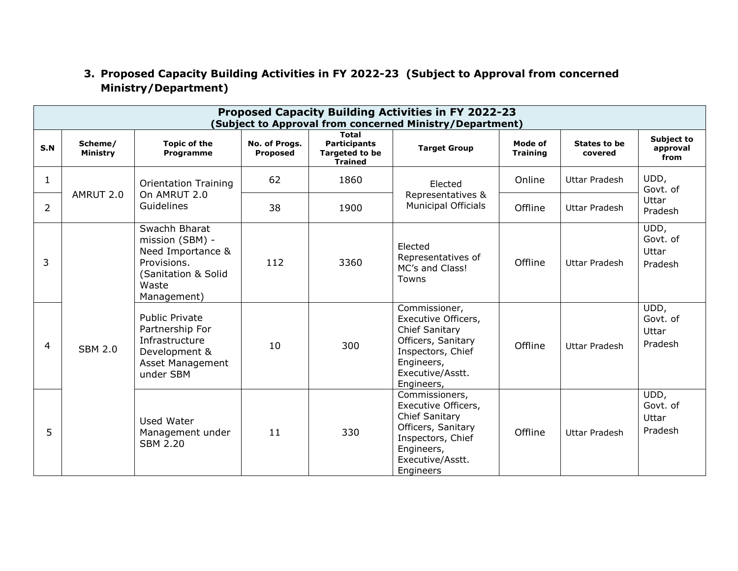#### **3. Proposed Capacity Building Activities in FY 2022-23 (Subject to Approval from concerned Ministry/Department)**

| Proposed Capacity Building Activities in FY 2022-23<br>(Subject to Approval from concerned Ministry/Department) |                            |                                                                                                                     |                           |                                                                                |                                                                                                                                                          |                            |                         |                                      |
|-----------------------------------------------------------------------------------------------------------------|----------------------------|---------------------------------------------------------------------------------------------------------------------|---------------------------|--------------------------------------------------------------------------------|----------------------------------------------------------------------------------------------------------------------------------------------------------|----------------------------|-------------------------|--------------------------------------|
| S.N                                                                                                             | Scheme/<br><b>Ministry</b> | <b>Topic of the</b><br>Programme                                                                                    | No. of Progs.<br>Proposed | <b>Total</b><br><b>Participants</b><br><b>Targeted to be</b><br><b>Trained</b> | <b>Target Group</b>                                                                                                                                      | Mode of<br><b>Training</b> | States to be<br>covered | Subject to<br>approval<br>from       |
| $\mathbf 1$                                                                                                     |                            | <b>Orientation Training</b>                                                                                         | 62                        | 1860                                                                           | Elected<br>Representatives &<br><b>Municipal Officials</b>                                                                                               | Online                     | Uttar Pradesh           | UDD,<br>Govt. of<br>Uttar<br>Pradesh |
| 2                                                                                                               | AMRUT 2.0                  | On AMRUT 2.0<br>Guidelines                                                                                          | 38                        | 1900                                                                           |                                                                                                                                                          | Offline                    | <b>Uttar Pradesh</b>    |                                      |
| 3                                                                                                               |                            | Swachh Bharat<br>mission (SBM) -<br>Need Importance &<br>Provisions.<br>(Sanitation & Solid<br>Waste<br>Management) | 112                       | 3360                                                                           | Elected<br>Representatives of<br>MC's and Class!<br>Towns                                                                                                | Offline                    | Uttar Pradesh           | UDD,<br>Govt. of<br>Uttar<br>Pradesh |
| 4                                                                                                               | <b>SBM 2.0</b>             | <b>Public Private</b><br>Partnership For<br>Infrastructure<br>Development &<br>Asset Management<br>under SBM        | 10                        | 300                                                                            | Commissioner,<br>Executive Officers,<br><b>Chief Sanitary</b><br>Officers, Sanitary<br>Inspectors, Chief<br>Engineers,<br>Executive/Asstt.<br>Engineers, | Offline                    | Uttar Pradesh           | UDD,<br>Govt. of<br>Uttar<br>Pradesh |
| 5                                                                                                               |                            | <b>Used Water</b><br>Management under<br><b>SBM 2.20</b>                                                            | 11                        | 330                                                                            | Commissioners,<br>Executive Officers,<br>Chief Sanitary<br>Officers, Sanitary<br>Inspectors, Chief<br>Engineers,<br>Executive/Asstt.<br>Engineers        | Offline                    | Uttar Pradesh           | UDD,<br>Govt. of<br>Uttar<br>Pradesh |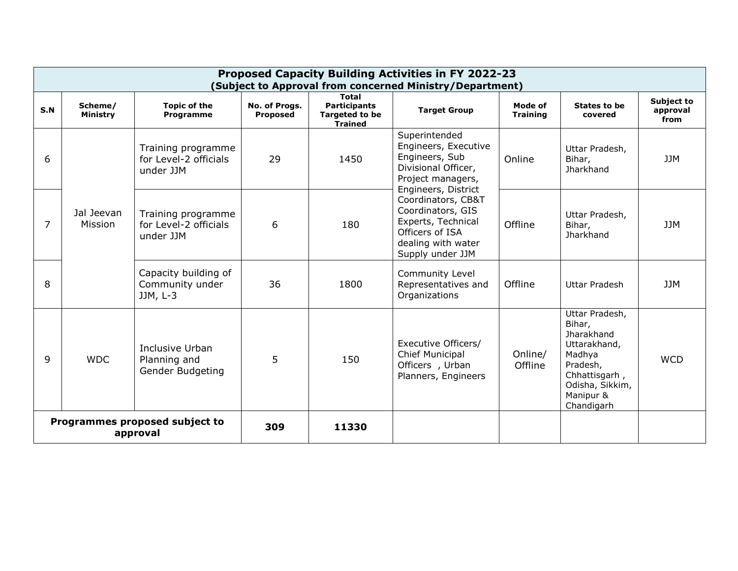| <b>Proposed Capacity Building Activities in FY 2022-23</b><br>(Subject to Approval from concerned Ministry/Department) |                       |                                                          |                                  |                                                                                  |                                                                                                                                                                                                                                                                                                                            |                                                                                                                                                    |                                              |                                |
|------------------------------------------------------------------------------------------------------------------------|-----------------------|----------------------------------------------------------|----------------------------------|----------------------------------------------------------------------------------|----------------------------------------------------------------------------------------------------------------------------------------------------------------------------------------------------------------------------------------------------------------------------------------------------------------------------|----------------------------------------------------------------------------------------------------------------------------------------------------|----------------------------------------------|--------------------------------|
| S.N                                                                                                                    | Scheme/<br>Ministry   | <b>Topic of the</b><br>Programme                         | No. of Progs.<br><b>Proposed</b> | <b>Total</b><br><b>Participants</b><br>Targeted to be<br><b>Trained</b>          | <b>Target Group</b>                                                                                                                                                                                                                                                                                                        | Mode of<br><b>Training</b>                                                                                                                         | States to be<br>covered                      | Subject to<br>approval<br>from |
| 6                                                                                                                      | Jal Jeevan<br>Mission | Training programme<br>for Level-2 officials<br>under JJM | 29                               | 1450                                                                             | Superintended<br>Engineers, Executive<br>Engineers, Sub<br>Divisional Officer,<br>Project managers,<br>Engineers, District<br>Coordinators, CB&T<br>Coordinators, GIS<br>Experts, Technical<br>Officers of ISA<br>dealing with water<br>Supply under JJM<br><b>Community Level</b><br>Representatives and<br>Organizations | Online                                                                                                                                             | Uttar Pradesh,<br>Bihar,<br>Jharkhand        | 11M                            |
| 7                                                                                                                      |                       | Training programme<br>for Level-2 officials<br>under JJM | 6                                | 180                                                                              |                                                                                                                                                                                                                                                                                                                            | Offline                                                                                                                                            | Uttar Pradesh,<br>Bihar,<br><b>Jharkhand</b> | <b>JJM</b>                     |
| 8                                                                                                                      |                       | Capacity building of<br>Community under<br>$JJM, L-3$    | 36                               | 1800                                                                             |                                                                                                                                                                                                                                                                                                                            | Offline                                                                                                                                            | Uttar Pradesh                                | <b>JJM</b>                     |
| Inclusive Urban<br><b>WDC</b><br>q<br>Planning and<br>Gender Budgeting                                                 |                       | 5                                                        | 150                              | Executive Officers/<br>Chief Municipal<br>Officers, Urban<br>Planners, Engineers | Online/<br>Offline                                                                                                                                                                                                                                                                                                         | Uttar Pradesh,<br>Bihar,<br><b>Jharakhand</b><br>Uttarakhand,<br>Madhya<br>Pradesh,<br>Chhattisgarh,<br>Odisha, Sikkim,<br>Manipur &<br>Chandigarh | <b>WCD</b>                                   |                                |
| Programmes proposed subject to<br>approval                                                                             |                       |                                                          | 309                              | 11330                                                                            |                                                                                                                                                                                                                                                                                                                            |                                                                                                                                                    |                                              |                                |